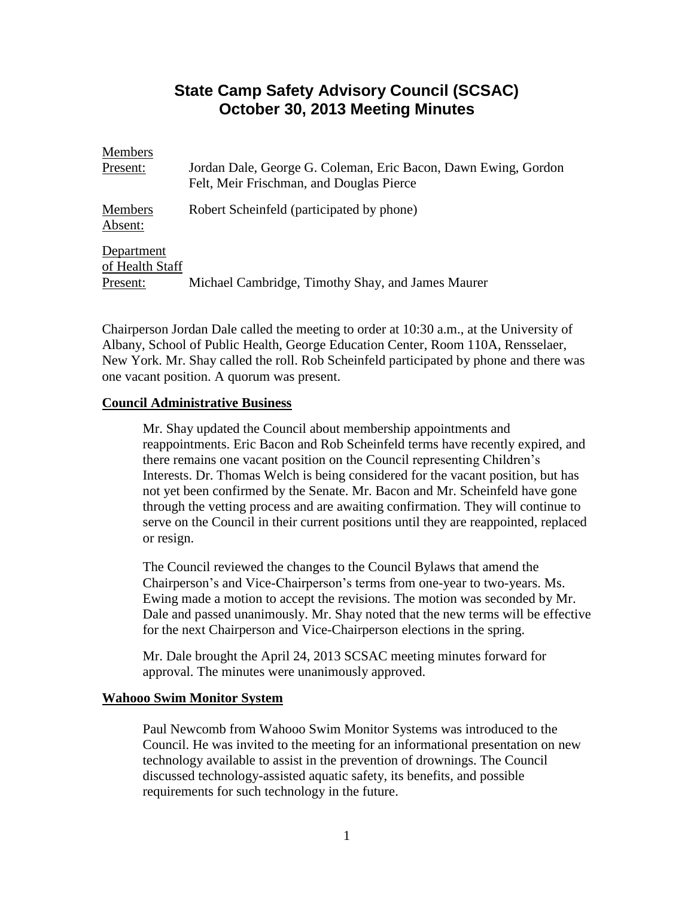# **State Camp Safety Advisory Council (SCSAC) October 30, 2013 Meeting Minutes**

| <b>Members</b>                |                                                                                                            |
|-------------------------------|------------------------------------------------------------------------------------------------------------|
| Present:                      | Jordan Dale, George G. Coleman, Eric Bacon, Dawn Ewing, Gordon<br>Felt, Meir Frischman, and Douglas Pierce |
| <b>Members</b><br>Absent:     | Robert Scheinfeld (participated by phone)                                                                  |
| Department<br>of Health Staff |                                                                                                            |
| Present:                      | Michael Cambridge, Timothy Shay, and James Maurer                                                          |

Chairperson Jordan Dale called the meeting to order at 10:30 a.m., at the University of Albany, School of Public Health, George Education Center, Room 110A, Rensselaer, New York. Mr. Shay called the roll. Rob Scheinfeld participated by phone and there was one vacant position. A quorum was present.

## **Council Administrative Business**

Mr. Shay updated the Council about membership appointments and reappointments. Eric Bacon and Rob Scheinfeld terms have recently expired, and there remains one vacant position on the Council representing Children's Interests. Dr. Thomas Welch is being considered for the vacant position, but has not yet been confirmed by the Senate. Mr. Bacon and Mr. Scheinfeld have gone through the vetting process and are awaiting confirmation. They will continue to serve on the Council in their current positions until they are reappointed, replaced or resign.

The Council reviewed the changes to the Council Bylaws that amend the Chairperson's and Vice-Chairperson's terms from one-year to two-years. Ms. Ewing made a motion to accept the revisions. The motion was seconded by Mr. Dale and passed unanimously. Mr. Shay noted that the new terms will be effective for the next Chairperson and Vice-Chairperson elections in the spring.

Mr. Dale brought the April 24, 2013 SCSAC meeting minutes forward for approval. The minutes were unanimously approved.

## **Wahooo Swim Monitor System**

Paul Newcomb from Wahooo Swim Monitor Systems was introduced to the Council. He was invited to the meeting for an informational presentation on new technology available to assist in the prevention of drownings. The Council discussed technology-assisted aquatic safety, its benefits, and possible requirements for such technology in the future.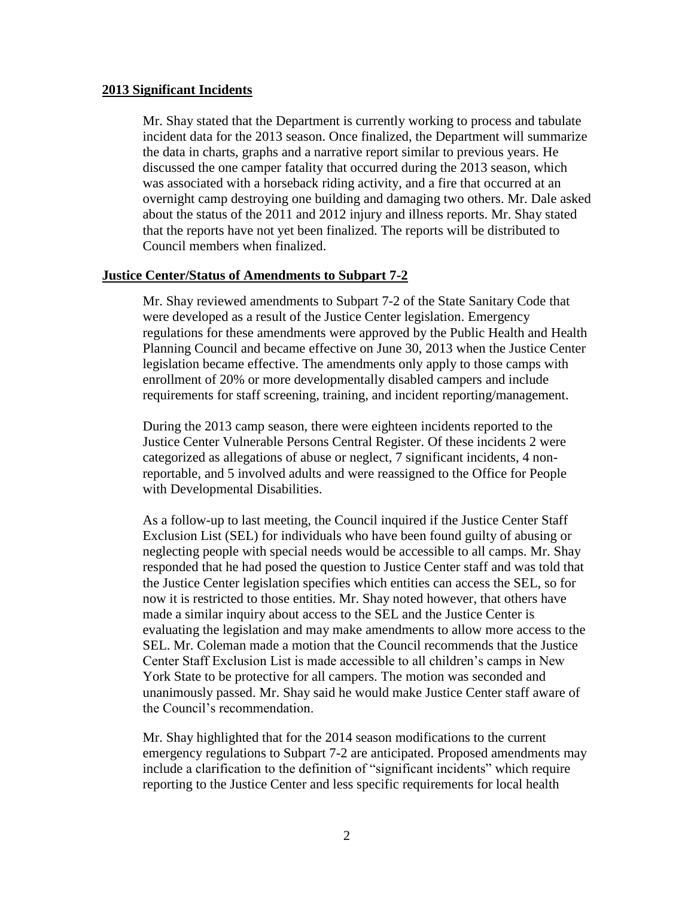#### **2013 Significant Incidents**

Mr. Shay stated that the Department is currently working to process and tabulate incident data for the 2013 season. Once finalized, the Department will summarize the data in charts, graphs and a narrative report similar to previous years. He discussed the one camper fatality that occurred during the 2013 season, which was associated with a horseback riding activity, and a fire that occurred at an overnight camp destroying one building and damaging two others. Mr. Dale asked about the status of the 2011 and 2012 injury and illness reports. Mr. Shay stated that the reports have not yet been finalized. The reports will be distributed to Council members when finalized.

#### **Justice Center/Status of Amendments to Subpart 7-2**

Mr. Shay reviewed amendments to Subpart 7-2 of the State Sanitary Code that were developed as a result of the Justice Center legislation. Emergency regulations for these amendments were approved by the Public Health and Health Planning Council and became effective on June 30, 2013 when the Justice Center legislation became effective. The amendments only apply to those camps with enrollment of 20% or more developmentally disabled campers and include requirements for staff screening, training, and incident reporting/management.

During the 2013 camp season, there were eighteen incidents reported to the Justice Center Vulnerable Persons Central Register. Of these incidents 2 were categorized as allegations of abuse or neglect, 7 significant incidents, 4 nonreportable, and 5 involved adults and were reassigned to the Office for People with Developmental Disabilities.

As a follow-up to last meeting, the Council inquired if the Justice Center Staff Exclusion List (SEL) for individuals who have been found guilty of abusing or neglecting people with special needs would be accessible to all camps. Mr. Shay responded that he had posed the question to Justice Center staff and was told that the Justice Center legislation specifies which entities can access the SEL, so for now it is restricted to those entities. Mr. Shay noted however, that others have made a similar inquiry about access to the SEL and the Justice Center is evaluating the legislation and may make amendments to allow more access to the SEL. Mr. Coleman made a motion that the Council recommends that the Justice Center Staff Exclusion List is made accessible to all children's camps in New York State to be protective for all campers. The motion was seconded and unanimously passed. Mr. Shay said he would make Justice Center staff aware of the Council's recommendation.

Mr. Shay highlighted that for the 2014 season modifications to the current emergency regulations to Subpart 7-2 are anticipated. Proposed amendments may include a clarification to the definition of "significant incidents" which require reporting to the Justice Center and less specific requirements for local health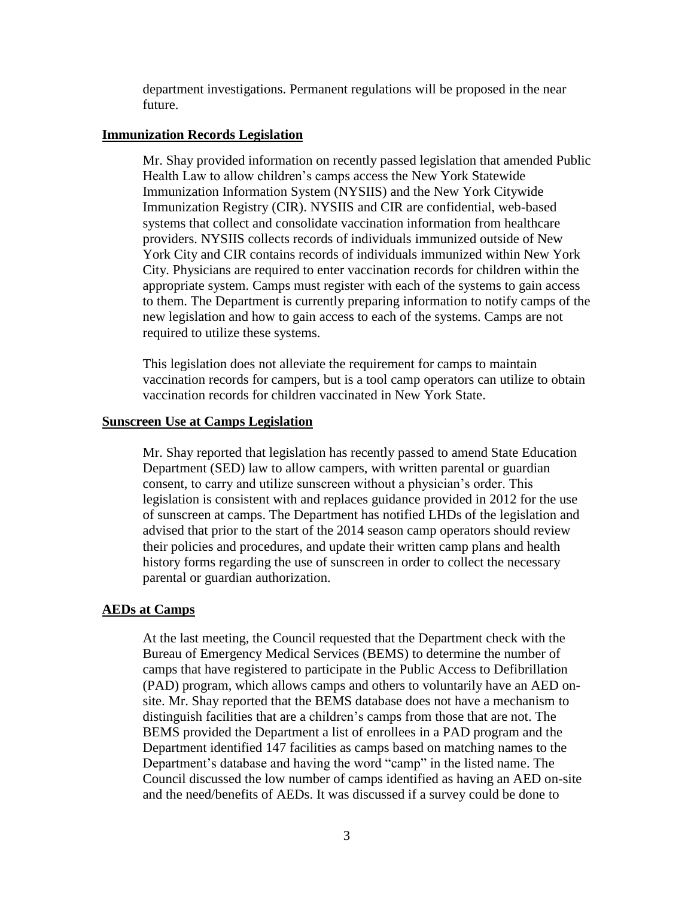department investigations. Permanent regulations will be proposed in the near future.

#### **Immunization Records Legislation**

Mr. Shay provided information on recently passed legislation that amended Public Health Law to allow children's camps access the New York Statewide Immunization Information System (NYSIIS) and the New York Citywide Immunization Registry (CIR). NYSIIS and CIR are confidential, web-based systems that collect and consolidate vaccination information from healthcare providers. NYSIIS collects records of individuals immunized outside of New York City and CIR contains records of individuals immunized within New York City. Physicians are required to enter vaccination records for children within the appropriate system. Camps must register with each of the systems to gain access to them. The Department is currently preparing information to notify camps of the new legislation and how to gain access to each of the systems. Camps are not required to utilize these systems.

This legislation does not alleviate the requirement for camps to maintain vaccination records for campers, but is a tool camp operators can utilize to obtain vaccination records for children vaccinated in New York State.

#### **Sunscreen Use at Camps Legislation**

Mr. Shay reported that legislation has recently passed to amend State Education Department (SED) law to allow campers, with written parental or guardian consent, to carry and utilize sunscreen without a physician's order. This legislation is consistent with and replaces guidance provided in 2012 for the use of sunscreen at camps. The Department has notified LHDs of the legislation and advised that prior to the start of the 2014 season camp operators should review their policies and procedures, and update their written camp plans and health history forms regarding the use of sunscreen in order to collect the necessary parental or guardian authorization.

## **AEDs at Camps**

At the last meeting, the Council requested that the Department check with the Bureau of Emergency Medical Services (BEMS) to determine the number of camps that have registered to participate in the Public Access to Defibrillation (PAD) program, which allows camps and others to voluntarily have an AED onsite. Mr. Shay reported that the BEMS database does not have a mechanism to distinguish facilities that are a children's camps from those that are not. The BEMS provided the Department a list of enrollees in a PAD program and the Department identified 147 facilities as camps based on matching names to the Department's database and having the word "camp" in the listed name. The Council discussed the low number of camps identified as having an AED on-site and the need/benefits of AEDs. It was discussed if a survey could be done to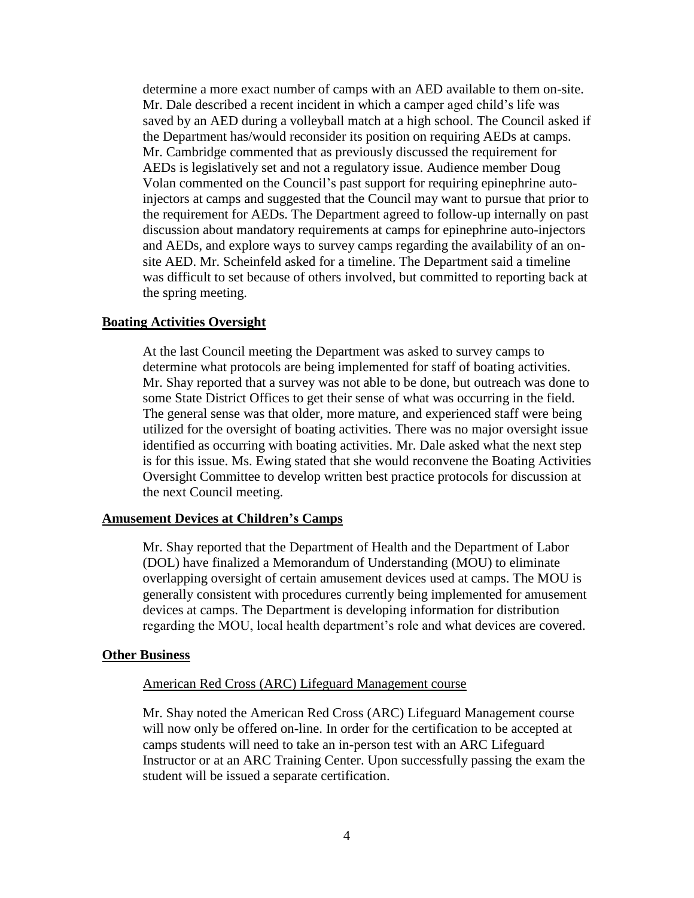determine a more exact number of camps with an AED available to them on-site. Mr. Dale described a recent incident in which a camper aged child's life was saved by an AED during a volleyball match at a high school. The Council asked if the Department has/would reconsider its position on requiring AEDs at camps. Mr. Cambridge commented that as previously discussed the requirement for AEDs is legislatively set and not a regulatory issue. Audience member Doug Volan commented on the Council's past support for requiring epinephrine autoinjectors at camps and suggested that the Council may want to pursue that prior to the requirement for AEDs. The Department agreed to follow-up internally on past discussion about mandatory requirements at camps for epinephrine auto-injectors and AEDs, and explore ways to survey camps regarding the availability of an onsite AED. Mr. Scheinfeld asked for a timeline. The Department said a timeline was difficult to set because of others involved, but committed to reporting back at the spring meeting.

## **Boating Activities Oversight**

At the last Council meeting the Department was asked to survey camps to determine what protocols are being implemented for staff of boating activities. Mr. Shay reported that a survey was not able to be done, but outreach was done to some State District Offices to get their sense of what was occurring in the field. The general sense was that older, more mature, and experienced staff were being utilized for the oversight of boating activities. There was no major oversight issue identified as occurring with boating activities. Mr. Dale asked what the next step is for this issue. Ms. Ewing stated that she would reconvene the Boating Activities Oversight Committee to develop written best practice protocols for discussion at the next Council meeting.

#### **Amusement Devices at Children's Camps**

Mr. Shay reported that the Department of Health and the Department of Labor (DOL) have finalized a Memorandum of Understanding (MOU) to eliminate overlapping oversight of certain amusement devices used at camps. The MOU is generally consistent with procedures currently being implemented for amusement devices at camps. The Department is developing information for distribution regarding the MOU, local health department's role and what devices are covered.

#### **Other Business**

#### American Red Cross (ARC) Lifeguard Management course

Mr. Shay noted the American Red Cross (ARC) Lifeguard Management course will now only be offered on-line. In order for the certification to be accepted at camps students will need to take an in-person test with an ARC Lifeguard Instructor or at an ARC Training Center. Upon successfully passing the exam the student will be issued a separate certification.